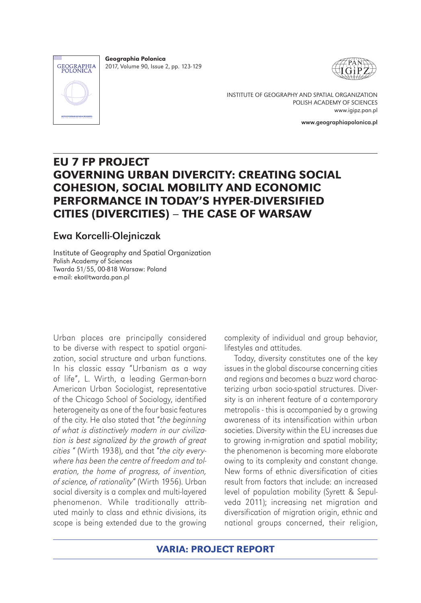

Geographia Polonica 2017, Volume 90, Issue 2, pp. 123-129



INSTITUTE OF GEOGRAPHY AND SPATIAL ORGANIZATION POLISH ACADEMY OF SCIENCES www.igipz.pan.pl

www.geographiapolonica.pl

# EU 7 FP PROJECT GOVERNING URBAN DIVERCITY: CREATING SOCIAL COHESION, SOCIAL MOBILITY AND ECONOMIC PERFORMANCE IN TODAY'S HYPER-DIVERSIFIED CITIES (DIVERCITIES) – THE CASE OF WARSAW

## Ewa Korcelli-Olejniczak

Institute of Geography and Spatial Organization Polish Academy of Sciences Twarda 51/55, 00-818 Warsaw: Poland e-mail: eko@twarda.pan.pl

Urban places are principally considered to be diverse with respect to spatial organization, social structure and urban functions. In his classic essay "Urbanism as a way of life", L. Wirth, a leading German-born American Urban Sociologist, representative of the Chicago School of Sociology, identified heterogeneity as one of the four basic features of the city. He also stated that "*the beginning of what is distinctively modern in our civilization is best signalized by the growth of great cities* " (Wirth 1938), and that "*the city everywhere has been the centre of freedom and toleration, the home of progress, of invention, of science, of rationality*" (Wirth 1956). Urban social diversity is a complex and multi-layered phenomenon. While traditionally attributed mainly to class and ethnic divisions, its scope is being extended due to the growing

complexity of individual and group behavior, lifestyles and attitudes.

Today, diversity constitutes one of the key issues in the global discourse concerning cities and regions and becomes a buzz word characterizing urban socio-spatial structures. Diversity is an inherent feature of a contemporary metropolis - this is accompanied by a growing awareness of its intensification within urban societies. Diversity within the EU increases due to growing in-migration and spatial mobility; the phenomenon is becoming more elaborate owing to its complexity and constant change. New forms of ethnic diversification of cities result from factors that include: an increased level of population mobility (Syrett & Sepulveda 2011); increasing net migration and diversification of migration origin, ethnic and national groups concerned, their religion,

VARIA: PROJECT REPORT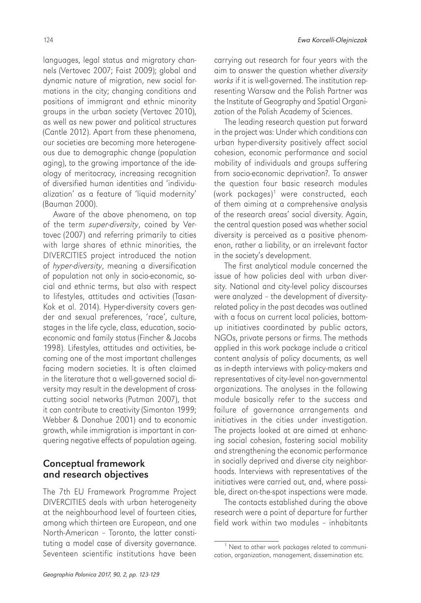languages, legal status and migratory channels (Vertovec 2007; Faist 2009); global and dynamic nature of migration, new social formations in the city; changing conditions and positions of immigrant and ethnic minority groups in the urban society (Vertovec 2010), as well as new power and political structures (Cantle 2012). Apart from these phenomena, our societies are becoming more heterogeneous due to demographic change (population aging), to the growing importance of the ideology of meritocracy, increasing recognition of diversified human identities and 'individualization' as a feature of 'liquid modernity' (Bauman 2000).

Aware of the above phenomena, on top of the term *super-diversity*, coined by Vertovec (2007) and referring primarily to cities with large shares of ethnic minorities, the DIVERCITIES project introduced the notion of *hyper-diversity*, meaning a diversification of population not only in socio-economic, social and ethnic terms, but also with respect to lifestyles, attitudes and activities (Tasan-Kok et al. 2014). Hyper-diversity covers gender and sexual preferences, 'race', culture, stages in the life cycle, class, education, socioeconomic and family status (Fincher & Jacobs 1998). Lifestyles, attitudes and activities, becoming one of the most important challenges facing modern societies. It is often claimed in the literature that a well-governed social diversity may result in the development of crosscutting social networks (Putman 2007), that it can contribute to creativity (Simonton 1999; Webber & Donahue 2001) and to economic growth, while immigration is important in conquering negative effects of population ageing.

## Conceptual framework and research objectives

The 7th EU Framework Programme Project DIVERCITIES deals with urban heterogeneity at the neighbourhood level of fourteen cities, among which thirteen are European, and one North-American – Toronto, the latter constituting a model case of diversity governance. Seventeen scientific institutions have been

carrying out research for four years with the aim to answer the question whether *diversity works* if it is well-governed. The institution representing Warsaw and the Polish Partner was the Institute of Geography and Spatial Organization of the Polish Academy of Sciences.

The leading research question put forward in the project was: Under which conditions can urban hyper-diversity positively affect social cohesion, economic performance and social mobility of individuals and groups suffering from socio-economic deprivation?. To answer the question four basic research modules (work packages)1 were constructed, each of them aiming at a comprehensive analysis of the research areas' social diversity. Again, the central question posed was whether social diversity is perceived as a positive phenomenon, rather a liability, or an irrelevant factor in the society's development.

The first analytical module concerned the issue of how policies deal with urban diversity. National and city-level policy discourses were analyzed – the development of diversityrelated policy in the past decades was outlined with a focus on current local policies, bottomup initiatives coordinated by public actors, NGOs, private persons or firms. The methods applied in this work package include a critical content analysis of policy documents, as well as in-depth interviews with policy-makers and representatives of city-level non-governmental organizations. The analyses in the following module basically refer to the success and failure of governance arrangements and initiatives in the cities under investigation. The projects looked at are aimed at enhancing social cohesion, fostering social mobility and strengthening the economic performance in socially deprived and diverse city neighborhoods. Interviews with representatives of the initiatives were carried out, and, where possible, direct on-the-spot inspections were made.

The contacts established during the above research were a point of departure for further field work within two modules – inhabitants

<sup>&</sup>lt;sup>1</sup> Next to other work packages related to communication, organization, management, dissemination etc.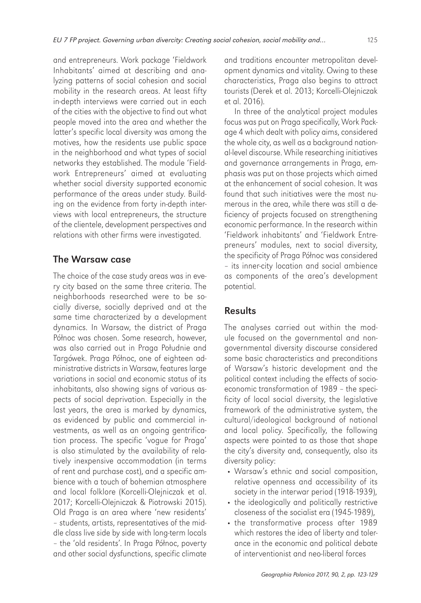and entrepreneurs. Work package 'Fieldwork Inhabitants' aimed at describing and analyzing patterns of social cohesion and social mobility in the research areas. At least fifty in-depth interviews were carried out in each of the cities with the objective to find out what people moved into the area and whether the latter's specific local diversity was among the motives, how the residents use public space in the neighborhood and what types of social networks they established. The module 'Fieldwork Entrepreneurs' aimed at evaluating whether social diversity supported economic performance of the areas under study. Building on the evidence from forty in-depth interviews with local entrepreneurs, the structure of the clientele, development perspectives and relations with other firms were investigated.

## The Warsaw case

The choice of the case study areas was in every city based on the same three criteria. The neighborhoods researched were to be socially diverse, socially deprived and at the same time characterized by a development dynamics. In Warsaw, the district of Praga Północ was chosen. Some research, however, was also carried out in Praga Południe and Targówek. Praga Północ, one of eighteen administrative districts in Warsaw, features large variations in social and economic status of its inhabitants, also showing signs of various aspects of social deprivation. Especially in the last years, the area is marked by dynamics, as evidenced by public and commercial investments, as well as an ongoing gentrification process. The specific 'vogue for Praga' is also stimulated by the availability of relatively inexpensive accommodation (in terms of rent and purchase cost), and a specific ambience with a touch of bohemian atmosphere and local folklore (Korcelli-Olejniczak et al. 2017; Korcelli-Olejniczak & Piotrowski 2015). Old Praga is an area where 'new residents' – students, artists, representatives of the middle class live side by side with long-term locals – the 'old residents'. In Praga Północ, poverty and other social dysfunctions, specific climate

and traditions encounter metropolitan development dynamics and vitality. Owing to these characteristics, Praga also begins to attract tourists (Derek et al. 2013; Korcelli-Olejniczak et al. 2016).

In three of the analytical project modules focus was put on Praga specifically, Work Package 4 which dealt with policy aims, considered the whole city, as well as a background national-level discourse. While researching initiatives and governance arrangements in Praga, emphasis was put on those projects which aimed at the enhancement of social cohesion. It was found that such initiatives were the most numerous in the area, while there was still a deficiency of projects focused on strengthening economic performance. In the research within 'Fieldwork inhabitants' and 'Fieldwork Entrepreneurs' modules, next to social diversity, the specificity of Praga Północ was considered – its inner-city location and social ambience as components of the area's development potential.

## Results

The analyses carried out within the module focused on the governmental and nongovernmental diversity discourse considered some basic characteristics and preconditions of Warsaw's historic development and the political context including the effects of socioeconomic transformation of 1989 – the specificity of local social diversity, the legislative framework of the administrative system, the cultural/ideological background of national and local policy. Specifically, the following aspects were pointed to as those that shape the city's diversity and, consequently, also its diversity policy:

- Warsaw's ethnic and social composition, relative openness and accessibility of its society in the interwar period (1918-1939),
- the ideologically and politically restrictive closeness of the socialist era (1945-1989),
- the transformative process after 1989 which restores the idea of liberty and tolerance in the economic and political debate of interventionist and neo-liberal forces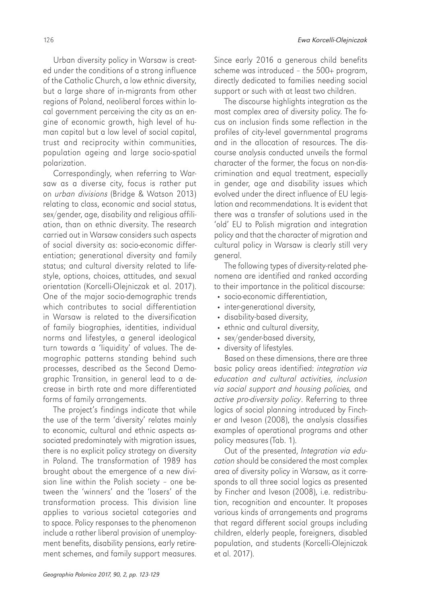Urban diversity policy in Warsaw is created under the conditions of a strong influence of the Catholic Church, a low ethnic diversity, but a large share of in-migrants from other regions of Poland, neoliberal forces within local government perceiving the city as an engine of economic growth, high level of human capital but a low level of social capital, trust and reciprocity within communities, population ageing and large socio-spatial polarization.

Correspondingly, when referring to Warsaw as a diverse city, focus is rather put on *urban divisions* (Bridge & Watson 2013) relating to class, economic and social status, sex/gender, age, disability and religious affiliation, than on ethnic diversity. The research carried out in Warsaw considers such aspects of social diversity as: socio-economic differentiation; generational diversity and family status; and cultural diversity related to lifestyle, options, choices, attitudes, and sexual orientation (Korcelli-Olejniczak et al. 2017). One of the major socio-demographic trends which contributes to social differentiation in Warsaw is related to the diversification of family biographies, identities, individual norms and lifestyles, a general ideological turn towards a 'liquidity' of values. The demographic patterns standing behind such processes, described as the Second Demographic Transition, in general lead to a decrease in birth rate and more differentiated forms of family arrangements.

The project's findings indicate that while the use of the term 'diversity' relates mainly to economic, cultural and ethnic aspects associated predominately with migration issues, there is no explicit policy strategy on diversity in Poland. The transformation of 1989 has brought about the emergence of a new division line within the Polish society – one between the 'winners' and the 'losers' of the transformation process. This division line applies to various societal categories and to space. Policy responses to the phenomenon include a rather liberal provision of unemployment benefits, disability pensions, early retirement schemes, and family support measures. Since early 2016 a generous child benefits scheme was introduced – the 500+ program, directly dedicated to families needing social support or such with at least two children.

The discourse highlights integration as the most complex area of diversity policy. The focus on inclusion finds some reflection in the profiles of city-level governmental programs and in the allocation of resources. The discourse analysis conducted unveils the formal character of the former, the focus on non-discrimination and equal treatment, especially in gender, age and disability issues which evolved under the direct influence of EU legislation and recommendations. It is evident that there was a transfer of solutions used in the 'old' EU to Polish migration and integration policy and that the character of migration and cultural policy in Warsaw is clearly still very general.

The following types of diversity-related phenomena are identified and ranked according to their importance in the political discourse:

- socio-economic differentiation,
- inter-generational diversity,
- disability-based diversity,
- ethnic and cultural diversity,
- sex/gender-based diversity,
- diversity of lifestyles.

Based on these dimensions, there are three basic policy areas identified: *integration via education and cultural activities, inclusion via social support and housing policies,* and *active pro-diversity policy*. Referring to three logics of social planning introduced by Fincher and Iveson (2008), the analysis classifies examples of operational programs and other policy measures (Tab. 1).

Out of the presented, *Integration via education* should be considered the most complex area of diversity policy in Warsaw, as it corresponds to all three social logics as presented by Fincher and Iveson (2008), i.e. redistribution, recognition and encounter. It proposes various kinds of arrangements and programs that regard different social groups including children, elderly people, foreigners, disabled population, and students (Korcelli-Olejniczak et al. 2017).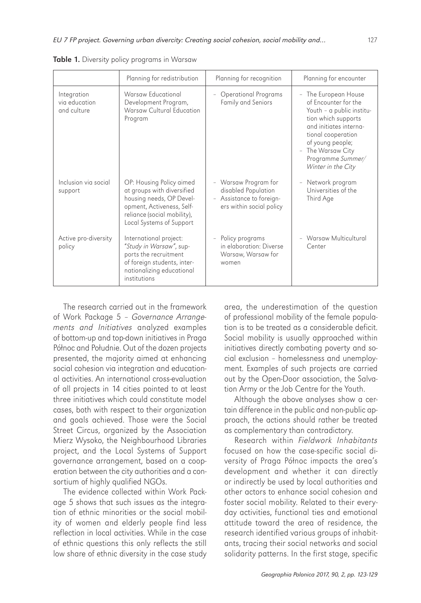|                                             | Planning for redistribution                                                                                                                                                | Planning for recognition                                                                            | Planning for encounter                                                                                                                                                                                                             |
|---------------------------------------------|----------------------------------------------------------------------------------------------------------------------------------------------------------------------------|-----------------------------------------------------------------------------------------------------|------------------------------------------------------------------------------------------------------------------------------------------------------------------------------------------------------------------------------------|
| Integration<br>via education<br>and culture | Warsaw Educational<br>Development Program,<br>Warsaw Cultural Education<br>Program                                                                                         | Operational Programs<br>Family and Seniors                                                          | - The European House<br>of Encounter for the<br>Youth - a public institu-<br>tion which supports<br>and initiates interna-<br>tional cooperation<br>of young people;<br>The Warsaw City<br>Programme Summer/<br>Winter in the City |
| Inclusion via social<br>support             | OP: Housing Policy aimed<br>at groups with diversified<br>housing needs, OP Devel-<br>opment, Activeness, Self-<br>reliance (social mobility),<br>Local Systems of Support | - Warsaw Program for<br>disabled Population<br>- Assistance to foreign-<br>ers within social policy | Network program<br>$\overline{\phantom{a}}$<br>Universities of the<br>Third Age                                                                                                                                                    |
| Active pro-diversity<br>policy              | International project:<br>"Study in Warsaw", sup-<br>ports the recruitment<br>of foreign students, inter-<br>nationalizing educational<br>institutions                     | Policy programs<br>in elaboration: Diverse<br>Warsaw, Warsaw for<br>women                           | - Warsaw Multicultural<br>Center                                                                                                                                                                                                   |

Table 1. Diversity policy programs in Warsaw

The research carried out in the framework of Work Package 5 – *Governance Arrangements and Initiatives* analyzed examples of bottom-up and top-down initiatives in Praga Północ and Południe. Out of the dozen projects presented, the majority aimed at enhancing social cohesion via integration and educational activities. An international cross-evaluation of all projects in 14 cities pointed to at least three initiatives which could constitute model cases, both with respect to their organization and goals achieved. Those were the Social Street Circus, organized by the Association Mierz Wysoko, the Neighbourhood Libraries project, and the Local Systems of Support governance arrangement, based on a cooperation between the city authorities and a consortium of highly qualified NGOs.

The evidence collected within Work Package 5 shows that such issues as the integration of ethnic minorities or the social mobility of women and elderly people find less reflection in local activities. While in the case of ethnic questions this only reflects the still low share of ethnic diversity in the case study area, the underestimation of the question of professional mobility of the female population is to be treated as a considerable deficit. Social mobility is usually approached within initiatives directly combating poverty and social exclusion – homelessness and unemployment. Examples of such projects are carried out by the Open-Door association, the Salvation Army or the Job Centre for the Youth.

Although the above analyses show a certain difference in the public and non-public approach, the actions should rather be treated as complementary than contradictory.

Research within *Fieldwork Inhabitants* focused on how the case-specific social diversity of Praga Północ impacts the area's development and whether it can directly or indirectly be used by local authorities and other actors to enhance social cohesion and foster social mobility. Related to their everyday activities, functional ties and emotional attitude toward the area of residence, the research identified various groups of inhabitants, tracing their social networks and social solidarity patterns. In the first stage, specific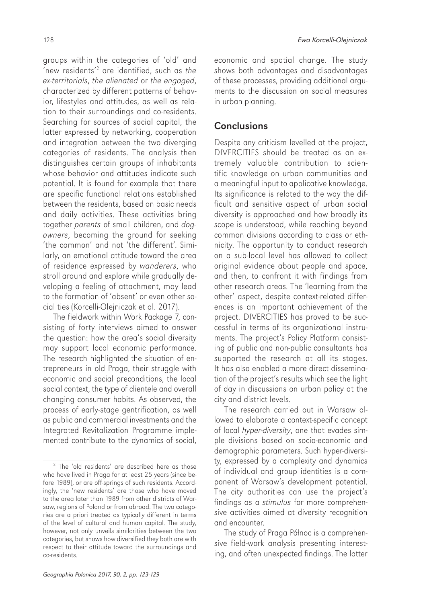groups within the categories of 'old' and 'new residents'2 are identified, such as *the ex-territorials*, *the alienated* or *the engaged*, characterized by different patterns of behavior, lifestyles and attitudes, as well as relation to their surroundings and co-residents. Searching for sources of social capital, the latter expressed by networking, cooperation and integration between the two diverging categories of residents. The analysis then distinguishes certain groups of inhabitants whose behavior and attitudes indicate such potential. It is found for example that there are specific functional relations established between the residents, based on basic needs and daily activities. These activities bring together *parents* of small children, and *dogowners*, becoming the ground for seeking 'the common' and not 'the different'. Similarly, an emotional attitude toward the area of residence expressed by *wanderers*, who stroll around and explore while gradually developing a feeling of attachment, may lead to the formation of 'absent' or even other social ties (Korcelli-Olejniczak et al. 2017).

The fieldwork within Work Package 7, consisting of forty interviews aimed to answer the question: how the area's social diversity may support local economic performance. The research highlighted the situation of entrepreneurs in old Praga, their struggle with economic and social preconditions, the local social context, the type of clientele and overall changing consumer habits. As observed, the process of early-stage gentrification, as well as public and commercial investments and the Integrated Revitalization Programme implemented contribute to the dynamics of social,

economic and spatial change. The study shows both advantages and disadvantages of these processes, providing additional arguments to the discussion on social measures in urban planning.

## **Conclusions**

Despite any criticism levelled at the project, DIVERCITIES should be treated as an extremely valuable contribution to scientific knowledge on urban communities and a meaningful input to applicative knowledge. Its significance is related to the way the difficult and sensitive aspect of urban social diversity is approached and how broadly its scope is understood, while reaching beyond common divisions according to class or ethnicity. The opportunity to conduct research on a sub-local level has allowed to collect original evidence about people and space, and then, to confront it with findings from other research areas. The 'learning from the other' aspect, despite context-related differences is an important achievement of the project. DIVERCITIES has proved to be successful in terms of its organizational instruments. The project's Policy Platform consisting of public and non-public consultants has supported the research at all its stages. It has also enabled a more direct dissemination of the project's results which see the light of day in discussions on urban policy at the city and district levels.

The research carried out in Warsaw allowed to elaborate a context-specific concept of local *hyper-diversity*, one that evades simple divisions based on socio-economic and demographic parameters. Such hyper-diversity, expressed by a complexity and dynamics of individual and group identities is a component of Warsaw's development potential. The city authorities can use the project's findings as a *stimulus* for more comprehensive activities aimed at diversity recognition and encounter.

The study of Praga Północ is a comprehensive field-work analysis presenting interesting, and often unexpected findings. The latter

<sup>&</sup>lt;sup>2</sup> The 'old residents' are described here as those who have lived in Praga for at least 25 years (since before 1989), or are off-springs of such residents. Accordingly, the 'new residents' are those who have moved to the area later than 1989 from other districts of Warsaw, regions of Poland or from abroad. The two categories are a priori treated as typically different in terms of the level of cultural and human capital. The study, however, not only unveils similarities between the two categories, but shows how diversified they both are with respect to their attitude toward the surroundings and co-residents.